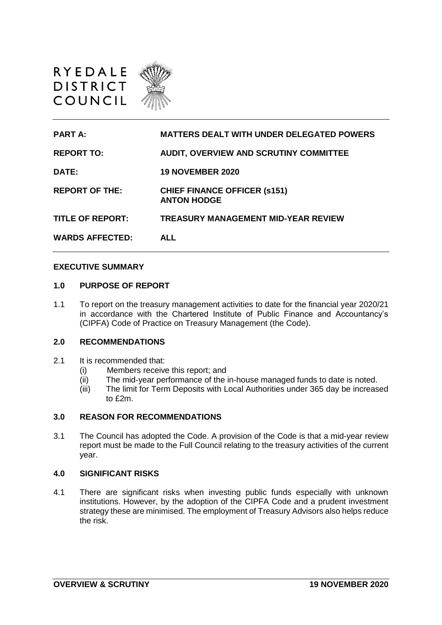



## **EXECUTIVE SUMMARY**

## **1.0 PURPOSE OF REPORT**

1.1 To report on the treasury management activities to date for the financial year 2020/21 in accordance with the Chartered Institute of Public Finance and Accountancy's (CIPFA) Code of Practice on Treasury Management (the Code).

## **2.0 RECOMMENDATIONS**

- 2.1 It is recommended that:
	- (i) Members receive this report; and
	- (ii) The mid-year performance of the in-house managed funds to date is noted.
	- (iii) The limit for Term Deposits with Local Authorities under 365 day be increased to  $f2m$ .

# **3.0 REASON FOR RECOMMENDATIONS**

3.1 The Council has adopted the Code. A provision of the Code is that a mid-year review report must be made to the Full Council relating to the treasury activities of the current year.

# **4.0 SIGNIFICANT RISKS**

4.1 There are significant risks when investing public funds especially with unknown institutions. However, by the adoption of the CIPFA Code and a prudent investment strategy these are minimised. The employment of Treasury Advisors also helps reduce the risk.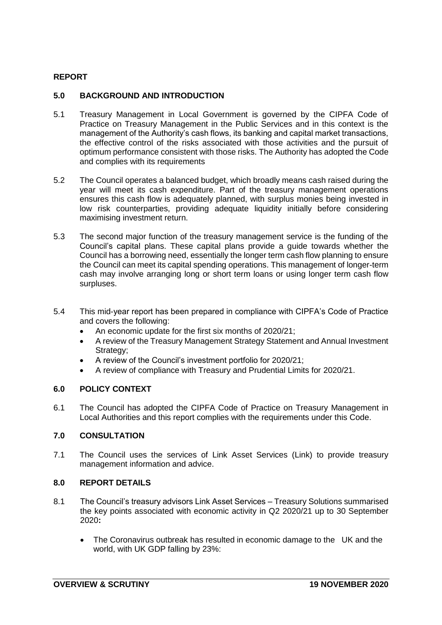### **REPORT**

#### **5.0 BACKGROUND AND INTRODUCTION**

- 5.1 Treasury Management in Local Government is governed by the CIPFA Code of Practice on Treasury Management in the Public Services and in this context is the management of the Authority's cash flows, its banking and capital market transactions, the effective control of the risks associated with those activities and the pursuit of optimum performance consistent with those risks. The Authority has adopted the Code and complies with its requirements
- 5.2 The Council operates a balanced budget, which broadly means cash raised during the year will meet its cash expenditure. Part of the treasury management operations ensures this cash flow is adequately planned, with surplus monies being invested in low risk counterparties, providing adequate liquidity initially before considering maximising investment return.
- 5.3 The second major function of the treasury management service is the funding of the Council's capital plans. These capital plans provide a guide towards whether the Council has a borrowing need, essentially the longer term cash flow planning to ensure the Council can meet its capital spending operations. This management of longer-term cash may involve arranging long or short term loans or using longer term cash flow surpluses.
- 5.4 This mid-year report has been prepared in compliance with CIPFA's Code of Practice and covers the following:
	- An economic update for the first six months of 2020/21:
	- A review of the Treasury Management Strategy Statement and Annual Investment Strategy;
	- A review of the Council's investment portfolio for 2020/21;
	- A review of compliance with Treasury and Prudential Limits for 2020/21.

#### **6.0 POLICY CONTEXT**

6.1 The Council has adopted the CIPFA Code of Practice on Treasury Management in Local Authorities and this report complies with the requirements under this Code.

### **7.0 CONSULTATION**

7.1 The Council uses the services of Link Asset Services (Link) to provide treasury management information and advice.

#### **8.0 REPORT DETAILS**

- 8.1 The Council's treasury advisors Link Asset Services Treasury Solutions summarised the key points associated with economic activity in Q2 2020/21 up to 30 September 2020**:**
	- The Coronavirus outbreak has resulted in economic damage to the UK and the world, with UK GDP falling by 23%: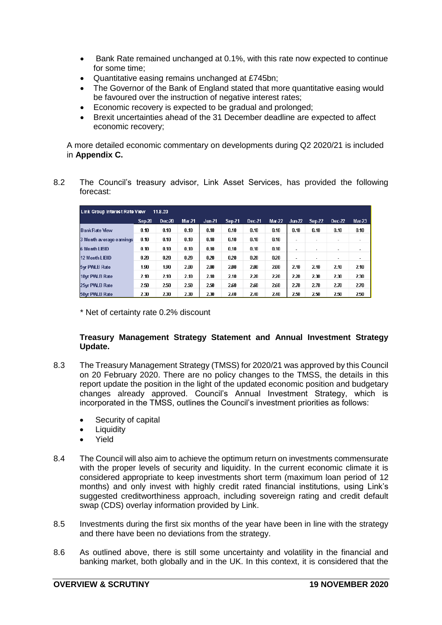- Bank Rate remained unchanged at 0.1%, with this rate now expected to continue for some time;
- Quantitative easing remains unchanged at £745bn;
- The Governor of the Bank of England stated that more quantitative easing would be favoured over the instruction of negative interest rates;
- Economic recovery is expected to be gradual and prolonged;
- Brexit uncertainties ahead of the 31 December deadline are expected to affect economic recovery;

A more detailed economic commentary on developments during Q2 2020/21 is included in **Appendix C.**

8.2 The Council's treasury advisor, Link Asset Services, has provided the following forecast:

| Link Group Interest Rate View<br>11.8.20 |        |        |          |          |        |        |          |                          |        |                          |          |
|------------------------------------------|--------|--------|----------|----------|--------|--------|----------|--------------------------|--------|--------------------------|----------|
|                                          | Sep-20 | Dec-20 | $Mar-21$ | $Jun-21$ | Sep-21 | Dec-21 | $Mar-22$ | $Jun-22$                 | Sep-22 | Dec-22                   | $Mar-23$ |
| <b>Bank Rate View</b>                    | 0.10   | 0.10   | 0.10     | 0.10     | 0.10   | 0.10   | 0.10     | 0.10                     | 0.10   | 0.10                     | 0.10     |
| 3 Month average earnings                 | 0.10   | 0.10   | 0.10     | 0.10     | 0.10   | 0.10   | 0.10     |                          |        | $\overline{\phantom{a}}$ |          |
| <b>6 Month LIBID</b>                     | 0.10   | 0.10   | 0.10     | 0.10     | 0.10   | 0.10   | 0.10     | $\overline{\phantom{a}}$ |        | $\overline{\phantom{a}}$ |          |
| 12 Month LIBID                           | 0.20   | 0.20   | 0.20     | 0.20     | 0.20   | 0.20   | 0.20     |                          |        | $\overline{\phantom{a}}$ |          |
| 5yr PWLB Rate                            | 1.90   | 1.90   | 2.00     | 2.00     | 2.00   | 2.00   | 2.00     | 2.10                     | 2.10   | 2.10                     | 2.10     |
| 10yr PWLB Rate                           | 2.10   | 2.10   | 2.10     | 2.10     | 2.10   | 2.20   | 220      | 2.20                     | 2.30   | 2.30                     | 2.30     |
| 25yr PWLB Rate                           | 2.50   | 2.50   | 2.50     | 2.50     | 2.60   | 2.60   | 2.60     | 2.70                     | 2.70   | 2.70                     | 2.70     |
| 50yr PWLB Rate                           | 2.30   | 2.30   | 2.30     | 2.30     | 2.40   | 2.40   | 2.40     | 250                      | 2.50   | 2.50                     | 2.50     |

\* Net of certainty rate 0.2% discount

#### **Treasury Management Strategy Statement and Annual Investment Strategy Update.**

- 8.3 The Treasury Management Strategy (TMSS) for 2020/21 was approved by this Council on 20 February 2020. There are no policy changes to the TMSS, the details in this report update the position in the light of the updated economic position and budgetary changes already approved. Council's Annual Investment Strategy, which is incorporated in the TMSS, outlines the Council's investment priorities as follows:
	- Security of capital
	- **Liquidity**
	- Yield
- 8.4 The Council will also aim to achieve the optimum return on investments commensurate with the proper levels of security and liquidity. In the current economic climate it is considered appropriate to keep investments short term (maximum loan period of 12 months) and only invest with highly credit rated financial institutions, using Link's suggested creditworthiness approach, including sovereign rating and credit default swap (CDS) overlay information provided by Link.
- 8.5 Investments during the first six months of the year have been in line with the strategy and there have been no deviations from the strategy.
- 8.6 As outlined above, there is still some uncertainty and volatility in the financial and banking market, both globally and in the UK. In this context, it is considered that the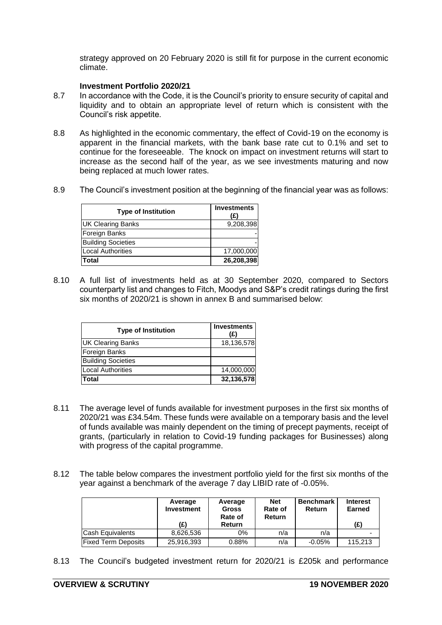strategy approved on 20 February 2020 is still fit for purpose in the current economic climate.

#### **Investment Portfolio 2020/21**

- 8.7 In accordance with the Code, it is the Council's priority to ensure security of capital and liquidity and to obtain an appropriate level of return which is consistent with the Council's risk appetite.
- 8.8 As highlighted in the economic commentary, the effect of Covid-19 on the economy is apparent in the financial markets, with the bank base rate cut to 0.1% and set to continue for the foreseeable. The knock on impact on investment returns will start to increase as the second half of the year, as we see investments maturing and now being replaced at much lower rates.
- 8.9 The Council's investment position at the beginning of the financial year was as follows:

| <b>Type of Institution</b> | <b>Investments</b><br>(£) |
|----------------------------|---------------------------|
| UK Clearing Banks          | 9,208,398                 |
| Foreign Banks              |                           |
| <b>Building Societies</b>  |                           |
| Local Authorities          | 17,000,000                |
| Total                      | 26,208,398                |

8.10 A full list of investments held as at 30 September 2020, compared to Sectors counterparty list and changes to Fitch, Moodys and S&P's credit ratings during the first six months of 2020/21 is shown in annex B and summarised below:

| <b>Type of Institution</b> | <b>Investments</b><br>(£) |
|----------------------------|---------------------------|
| <b>UK Clearing Banks</b>   | 18,136,578                |
| Foreign Banks              |                           |
| <b>Building Societies</b>  |                           |
| <b>Local Authorities</b>   | 14,000,000                |
| Total                      | 32,136,578                |

- 8.11 The average level of funds available for investment purposes in the first six months of 2020/21 was £34.54m. These funds were available on a temporary basis and the level of funds available was mainly dependent on the timing of precept payments, receipt of grants, (particularly in relation to Covid-19 funding packages for Businesses) along with progress of the capital programme.
- 8.12 The table below compares the investment portfolio yield for the first six months of the year against a benchmark of the average 7 day LIBID rate of -0.05%.

|                            | Average<br><b>Investment</b> | Average<br><b>Gross</b><br>Rate of | <b>Net</b><br>Rate of<br><b>Return</b> | <b>Benchmark</b><br>Return | <b>Interest</b><br>Earned |  |
|----------------------------|------------------------------|------------------------------------|----------------------------------------|----------------------------|---------------------------|--|
|                            | (£)                          | Return                             |                                        |                            | (£)                       |  |
| <b>Cash Equivalents</b>    | 8.626.536                    | $0\%$                              | n/a                                    | n/a                        | $\overline{\phantom{0}}$  |  |
| <b>Fixed Term Deposits</b> | 25,916,393                   | 0.88%                              | n/a                                    | $-0.05\%$                  | 115.213                   |  |

8.13 The Council's budgeted investment return for 2020/21 is £205k and performance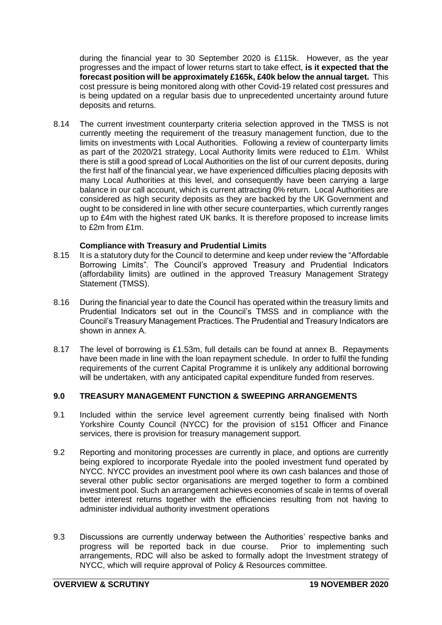during the financial year to 30 September 2020 is £115k. However, as the year progresses and the impact of lower returns start to take effect, **is it expected that the forecast position will be approximately £165k, £40k below the annual target.** This cost pressure is being monitored along with other Covid-19 related cost pressures and is being updated on a regular basis due to unprecedented uncertainty around future deposits and returns.

8.14 The current investment counterparty criteria selection approved in the TMSS is not currently meeting the requirement of the treasury management function, due to the limits on investments with Local Authorities. Following a review of counterparty limits as part of the 2020/21 strategy, Local Authority limits were reduced to £1m. Whilst there is still a good spread of Local Authorities on the list of our current deposits, during the first half of the financial year, we have experienced difficulties placing deposits with many Local Authorities at this level, and consequently have been carrying a large balance in our call account, which is current attracting 0% return. Local Authorities are considered as high security deposits as they are backed by the UK Government and ought to be considered in line with other secure counterparties, which currently ranges up to £4m with the highest rated UK banks. It is therefore proposed to increase limits to £2m from £1m.

#### **Compliance with Treasury and Prudential Limits**

- 8.15 It is a statutory duty for the Council to determine and keep under review the "Affordable" Borrowing Limits". The Council's approved Treasury and Prudential Indicators (affordability limits) are outlined in the approved Treasury Management Strategy Statement (TMSS).
- 8.16 During the financial year to date the Council has operated within the treasury limits and Prudential Indicators set out in the Council's TMSS and in compliance with the Council's Treasury Management Practices. The Prudential and Treasury Indicators are shown in annex A.
- 8.17 The level of borrowing is £1.53m, full details can be found at annex B. Repayments have been made in line with the loan repayment schedule. In order to fulfil the funding requirements of the current Capital Programme it is unlikely any additional borrowing will be undertaken, with any anticipated capital expenditure funded from reserves.

## **9.0 TREASURY MANAGEMENT FUNCTION & SWEEPING ARRANGEMENTS**

- 9.1 Included within the service level agreement currently being finalised with North Yorkshire County Council (NYCC) for the provision of s151 Officer and Finance services, there is provision for treasury management support.
- 9.2 Reporting and monitoring processes are currently in place, and options are currently being explored to incorporate Ryedale into the pooled investment fund operated by NYCC. NYCC provides an investment pool where its own cash balances and those of several other public sector organisations are merged together to form a combined investment pool. Such an arrangement achieves economies of scale in terms of overall better interest returns together with the efficiencies resulting from not having to administer individual authority investment operations
- 9.3 Discussions are currently underway between the Authorities' respective banks and progress will be reported back in due course. Prior to implementing such arrangements, RDC will also be asked to formally adopt the Investment strategy of NYCC, which will require approval of Policy & Resources committee.